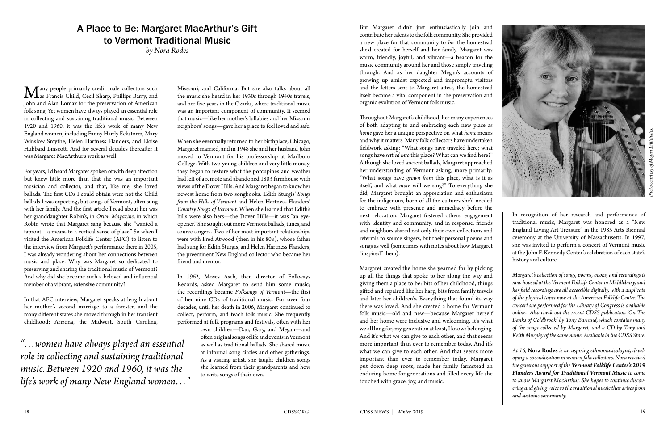## A Place to Be: Margaret MacArthur's Gift to Vermont Traditional Music

*by Nora Rodes*

Many people primarily credit male collectors such<br>
as Francis Child, Cecil Sharp, Phillips Barry, and<br>
John and Alan Lomay for the presentation of American John and Alan Lomax for the preservation of American folk song. Yet women have always played an essential role in collecting and sustaining traditional music. Between 1920 and 1960, it was the life's work of many New England women, including Fanny Hardy Eckstorm, Mary Winslow Smythe, Helen Hartness Flanders, and Eloise Hubbard Linscott. And for several decades thereafter it was Margaret MacArthur's work as well.

For years, I'd heard Margaret spoken of with deep affection but knew little more than that she was an important musician and collector, and that, like me, she loved ballads. The first CDs I could obtain were not the Child ballads I was expecting, but songs of Vermont, often sung with her family. And the first article I read about her was her granddaughter Robin's, in *Orion Magazine*, in which Robin wrote that Margaret sang because she "wanted a taproot—a means to a vertical sense of place." So when I visited the American Folklife Center (AFC) to listen to the interview from Margaret's performance there in 2005, I was already wondering about her connections between music and place. Why was Margaret so dedicated to preserving and sharing the traditional music of Vermont? And why did she become such a beloved and influential member of a vibrant, extensive community?

In that AFC interview, Margaret speaks at length about her mother's second marriage to a forester, and the many different states she moved through in her transient childhood: Arizona, the Midwest, South Carolina,

*"…women have always played an essential role in collecting and sustaining traditional music. Between 1920 and 1960, it was the life's work of many New England women…"*

Missouri, and California. But she also talks about all the music she heard in her 1930s through 1940s travels, and her five years in the Ozarks, where traditional music was an important component of community. It seemed that music—like her mother's lullabies and her Missouri neighbors' songs—gave her a place to feel loved and safe.

When she eventually returned to her birthplace, Chicago, Margaret married, and in 1948 she and her husband John moved to Vermont for his professorship at Marlboro College. With two young children and very little money, they began to restore what the porcupines and weather had left of a remote and abandoned 1803 farmhouse with views of the Dover Hills. And Margaret began to know her newest home from two songbooks: Edith Sturgis' *Songs from the Hills of Vermont* and Helen Hartness Flanders' *Country Songs of Vermont*. When she learned that Edith's hills were also hers—the Dover Hills—it was "an eyeopener." She sought out more Vermont ballads, tunes, and source singers. Two of her most important relationships were with Fred Atwood (then in his 80's), whose father had sung for Edith Sturgis, and Helen Hartness Flanders, the preeminent New England collector who became her friend and mentor.

In 1962, Moses Asch, then director of Folkways Records, asked Margaret to send him some music; the recordings became *Folksongs of Vermont*—the first of her nine CDs of traditional music. For over four decades, until her death in 2006, Margaret continued to collect, perform, and teach folk music. She frequently performed at folk programs and festivals, often with her

> own children—Dan, Gary, and Megan—and often original songs of life and events in Vermont as well as traditional ballads. She shared music at informal song circles and other gatherings. As a visiting artist, she taught children songs she learned from their grandparents and how to write songs of their own.